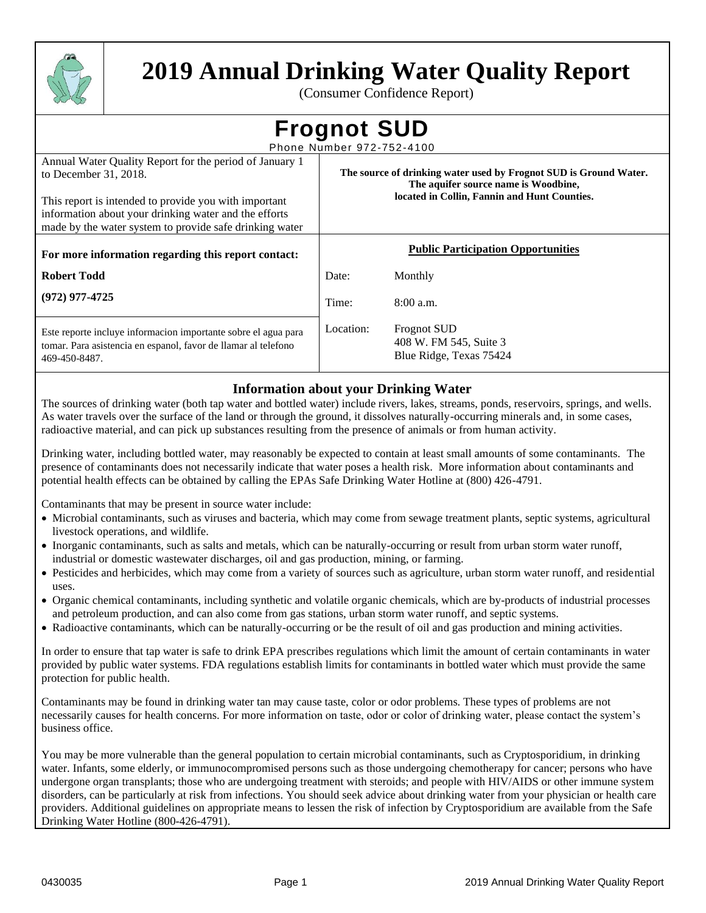

# **2019 Annual Drinking Water Quality Report**

(Consumer Confidence Report)

| <b>Frognot SUD</b> |  |  |
|--------------------|--|--|
|                    |  |  |

Phone Number 972-752-4100 Annual Water Quality Report for the period of January 1

| Allinual water Quality Report for the period of January 1<br>to December 31, 2018.<br>This report is intended to provide you with important<br>information about your drinking water and the efforts<br>made by the water system to provide safe drinking water | The source of drinking water used by Frognot SUD is Ground Water.<br>The aquifer source name is Woodbine,<br>located in Collin, Fannin and Hunt Counties. |                                                                         |  |  |  |
|-----------------------------------------------------------------------------------------------------------------------------------------------------------------------------------------------------------------------------------------------------------------|-----------------------------------------------------------------------------------------------------------------------------------------------------------|-------------------------------------------------------------------------|--|--|--|
| For more information regarding this report contact:                                                                                                                                                                                                             |                                                                                                                                                           | <b>Public Participation Opportunities</b>                               |  |  |  |
| <b>Robert Todd</b>                                                                                                                                                                                                                                              | Date:                                                                                                                                                     | Monthly                                                                 |  |  |  |
| $(972)$ 977-4725                                                                                                                                                                                                                                                | Time:                                                                                                                                                     | 8:00a.m.                                                                |  |  |  |
| Este reporte incluye informacion importante sobre el agua para<br>tomar. Para asistencia en espanol, favor de llamar al telefono<br>469-450-8487.                                                                                                               | Location:                                                                                                                                                 | <b>Frognot SUD</b><br>408 W. FM 545, Suite 3<br>Blue Ridge, Texas 75424 |  |  |  |

# **Information about your Drinking Water**

The sources of drinking water (both tap water and bottled water) include rivers, lakes, streams, ponds, reservoirs, springs, and wells. As water travels over the surface of the land or through the ground, it dissolves naturally-occurring minerals and, in some cases, radioactive material, and can pick up substances resulting from the presence of animals or from human activity.

Drinking water, including bottled water, may reasonably be expected to contain at least small amounts of some contaminants. The presence of contaminants does not necessarily indicate that water poses a health risk. More information about contaminants and potential health effects can be obtained by calling the EPAs Safe Drinking Water Hotline at (800) 426-4791.

Contaminants that may be present in source water include:

- Microbial contaminants, such as viruses and bacteria, which may come from sewage treatment plants, septic systems, agricultural livestock operations, and wildlife.
- Inorganic contaminants, such as salts and metals, which can be naturally-occurring or result from urban storm water runoff, industrial or domestic wastewater discharges, oil and gas production, mining, or farming.
- Pesticides and herbicides, which may come from a variety of sources such as agriculture, urban storm water runoff, and residential uses.
- Organic chemical contaminants, including synthetic and volatile organic chemicals, which are by-products of industrial processes and petroleum production, and can also come from gas stations, urban storm water runoff, and septic systems.
- Radioactive contaminants, which can be naturally-occurring or be the result of oil and gas production and mining activities.

In order to ensure that tap water is safe to drink EPA prescribes regulations which limit the amount of certain contaminants in water provided by public water systems. FDA regulations establish limits for contaminants in bottled water which must provide the same protection for public health.

Contaminants may be found in drinking water tan may cause taste, color or odor problems. These types of problems are not necessarily causes for health concerns. For more information on taste, odor or color of drinking water, please contact the system's business office.

You may be more vulnerable than the general population to certain microbial contaminants, such as Cryptosporidium, in drinking water. Infants, some elderly, or immunocompromised persons such as those undergoing chemotherapy for cancer; persons who have undergone organ transplants; those who are undergoing treatment with steroids; and people with HIV/AIDS or other immune system disorders, can be particularly at risk from infections. You should seek advice about drinking water from your physician or health care providers. Additional guidelines on appropriate means to lessen the risk of infection by Cryptosporidium are available from the Safe Drinking Water Hotline (800-426-4791).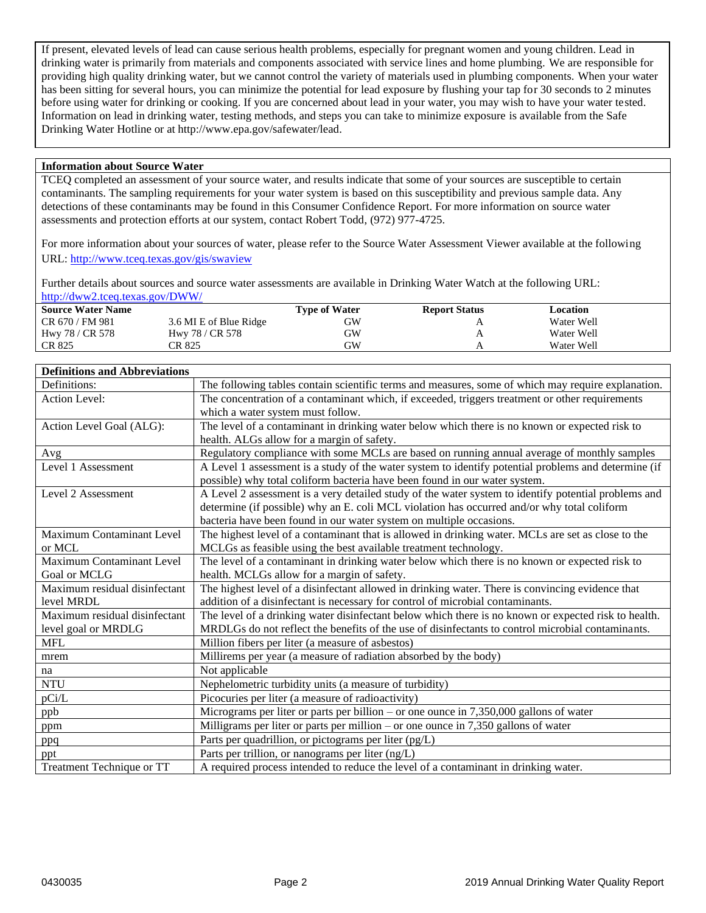If present, elevated levels of lead can cause serious health problems, especially for pregnant women and young children. Lead in drinking water is primarily from materials and components associated with service lines and home plumbing. We are responsible for providing high quality drinking water, but we cannot control the variety of materials used in plumbing components. When your water has been sitting for several hours, you can minimize the potential for lead exposure by flushing your tap for 30 seconds to 2 minutes before using water for drinking or cooking. If you are concerned about lead in your water, you may wish to have your water tested. Information on lead in drinking water, testing methods, and steps you can take to minimize exposure is available from the Safe Drinking Water Hotline or at http://www.epa.gov/safewater/lead.

### **Information about Source Water**

TCEQ completed an assessment of your source water, and results indicate that some of your sources are susceptible to certain contaminants. The sampling requirements for your water system is based on this susceptibility and previous sample data. Any detections of these contaminants may be found in this Consumer Confidence Report. For more information on source water assessments and protection efforts at our system, contact Robert Todd, (972) 977-4725.

For more information about your sources of water, please refer to the Source Water Assessment Viewer available at the following URL:<http://www.tceq.texas.gov/gis/swaview>

Further details about sources and source water assessments are available in Drinking Water Watch at the following URL: <http://dww2.tceq.texas.gov/DWW/>

| <b>Source Water Name</b> |                        | <b>Type of Water</b> | <b>Report Status</b> | Location   |  |
|--------------------------|------------------------|----------------------|----------------------|------------|--|
| CR 670 / FM 981          | 3.6 MI E of Blue Ridge | GW                   |                      | Water Well |  |
| Hwy 78 / CR 578          | Hwy 78 / CR 578        | GW                   | $\mathbf{r}$         | Water Well |  |
| CR 825                   | CR 825                 | GW                   |                      | Water Well |  |

### **Definitions and Abbreviations**

| Definitions:                     | The following tables contain scientific terms and measures, some of which may require explanation.   |
|----------------------------------|------------------------------------------------------------------------------------------------------|
| <b>Action Level:</b>             | The concentration of a contaminant which, if exceeded, triggers treatment or other requirements      |
|                                  | which a water system must follow.                                                                    |
| Action Level Goal (ALG):         | The level of a contaminant in drinking water below which there is no known or expected risk to       |
|                                  | health. ALGs allow for a margin of safety.                                                           |
| Avg                              | Regulatory compliance with some MCLs are based on running annual average of monthly samples          |
| Level 1 Assessment               | A Level 1 assessment is a study of the water system to identify potential problems and determine (if |
|                                  | possible) why total coliform bacteria have been found in our water system.                           |
| Level 2 Assessment               | A Level 2 assessment is a very detailed study of the water system to identify potential problems and |
|                                  | determine (if possible) why an E. coli MCL violation has occurred and/or why total coliform          |
|                                  | bacteria have been found in our water system on multiple occasions.                                  |
| Maximum Contaminant Level        | The highest level of a contaminant that is allowed in drinking water. MCLs are set as close to the   |
| or MCL                           | MCLGs as feasible using the best available treatment technology.                                     |
| Maximum Contaminant Level        | The level of a contaminant in drinking water below which there is no known or expected risk to       |
| Goal or MCLG                     | health. MCLGs allow for a margin of safety.                                                          |
| Maximum residual disinfectant    | The highest level of a disinfectant allowed in drinking water. There is convincing evidence that     |
| level MRDL                       | addition of a disinfectant is necessary for control of microbial contaminants.                       |
| Maximum residual disinfectant    | The level of a drinking water disinfectant below which there is no known or expected risk to health. |
| level goal or MRDLG              | MRDLGs do not reflect the benefits of the use of disinfectants to control microbial contaminants.    |
| <b>MFL</b>                       | Million fibers per liter (a measure of asbestos)                                                     |
| mrem                             | Millirems per year (a measure of radiation absorbed by the body)                                     |
| na                               | Not applicable                                                                                       |
| <b>NTU</b>                       | Nephelometric turbidity units (a measure of turbidity)                                               |
| pCi/L                            | Picocuries per liter (a measure of radioactivity)                                                    |
| ppb                              | Micrograms per liter or parts per billion – or one ounce in $7,350,000$ gallons of water             |
| ppm                              | Milligrams per liter or parts per million – or one ounce in $7,350$ gallons of water                 |
| ppq                              | Parts per quadrillion, or pictograms per liter (pg/L)                                                |
| ppt                              | Parts per trillion, or nanograms per liter (ng/L)                                                    |
| <b>Treatment Technique or TT</b> | A required process intended to reduce the level of a contaminant in drinking water.                  |